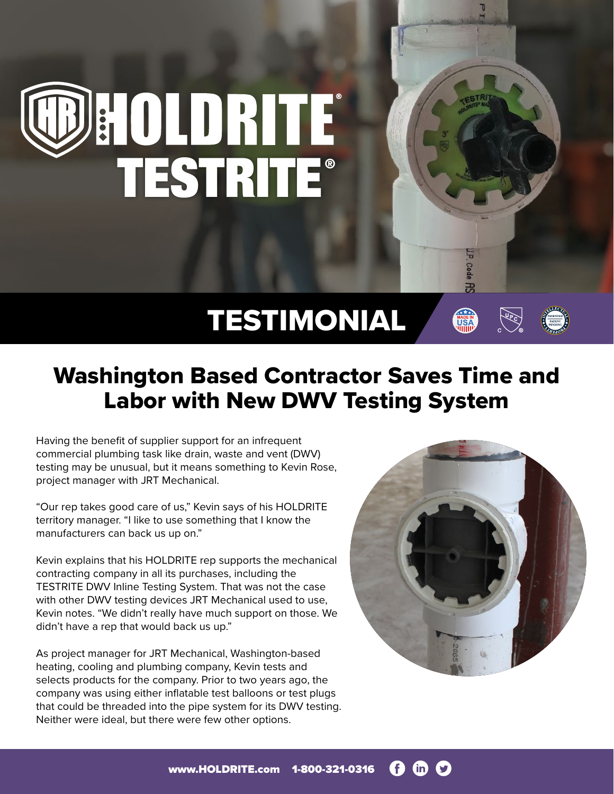

## TESTIMONIAL

## Washington Based Contractor Saves Time and Labor with New DWV Testing System

Having the benefit of supplier support for an infrequent commercial plumbing task like drain, waste and vent (DWV) testing may be unusual, but it means something to Kevin Rose, project manager with JRT Mechanical.

"Our rep takes good care of us," Kevin says of his HOLDRITE territory manager. "I like to use something that I know the manufacturers can back us up on."

Kevin explains that his HOLDRITE rep supports the mechanical contracting company in all its purchases, including the TESTRITE DWV Inline Testing System. That was not the case with other DWV testing devices JRT Mechanical used to use, Kevin notes. "We didn't really have much support on those. We didn't have a rep that would back us up."

As project manager for JRT Mechanical, Washington-based heating, cooling and plumbing company, Kevin tests and selects products for the company. Prior to two years ago, the company was using either inflatable test balloons or test plugs that could be threaded into the pipe system for its DWV testing. Neither were ideal, but there were few other options.

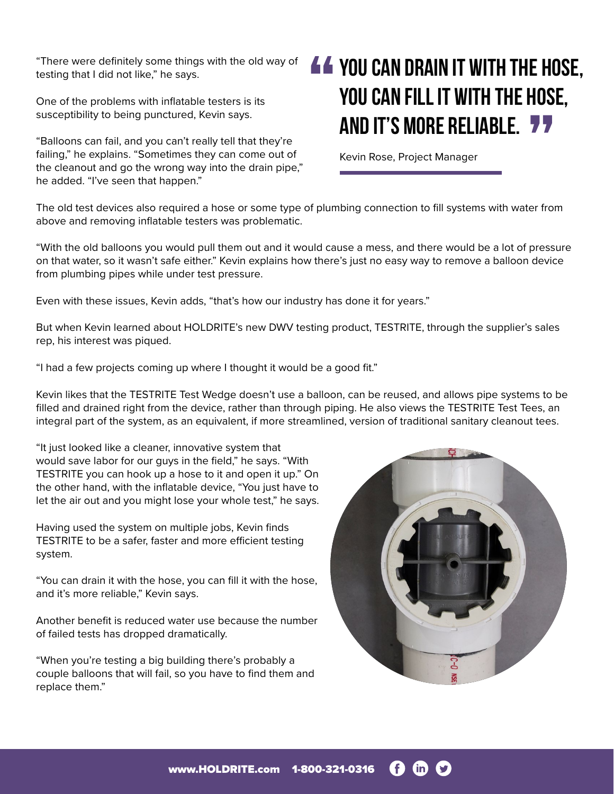"There were definitely some things with the old way of testing that I did not like," he says.

One of the problems with inflatable testers is its susceptibility to being punctured, Kevin says.

"Balloons can fail, and you can't really tell that they're failing," he explains. "Sometimes they can come out of the cleanout and go the wrong way into the drain pipe," he added. "I've seen that happen."

## **You can drain it with the hose, you can fill it with the hose, and it's more reliable.**

Kevin Rose, Project Manager

The old test devices also required a hose or some type of plumbing connection to fill systems with water from above and removing inflatable testers was problematic.

"With the old balloons you would pull them out and it would cause a mess, and there would be a lot of pressure on that water, so it wasn't safe either." Kevin explains how there's just no easy way to remove a balloon device from plumbing pipes while under test pressure.

Even with these issues, Kevin adds, "that's how our industry has done it for years."

But when Kevin learned about HOLDRITE's new DWV testing product, TESTRITE, through the supplier's sales rep, his interest was piqued.

"I had a few projects coming up where I thought it would be a good fit."

Kevin likes that the TESTRITE Test Wedge doesn't use a balloon, can be reused, and allows pipe systems to be filled and drained right from the device, rather than through piping. He also views the TESTRITE Test Tees, an integral part of the system, as an equivalent, if more streamlined, version of traditional sanitary cleanout tees.

"It just looked like a cleaner, innovative system that would save labor for our guys in the field," he says. "With TESTRITE you can hook up a hose to it and open it up." On the other hand, with the inflatable device, "You just have to let the air out and you might lose your whole test," he says.

Having used the system on multiple jobs, Kevin finds TESTRITE to be a safer, faster and more efficient testing system.

"You can drain it with the hose, you can fill it with the hose, and it's more reliable," Kevin says.

Another benefit is reduced water use because the number of failed tests has dropped dramatically.

"When you're testing a big building there's probably a couple balloons that will fail, so you have to find them and replace them."